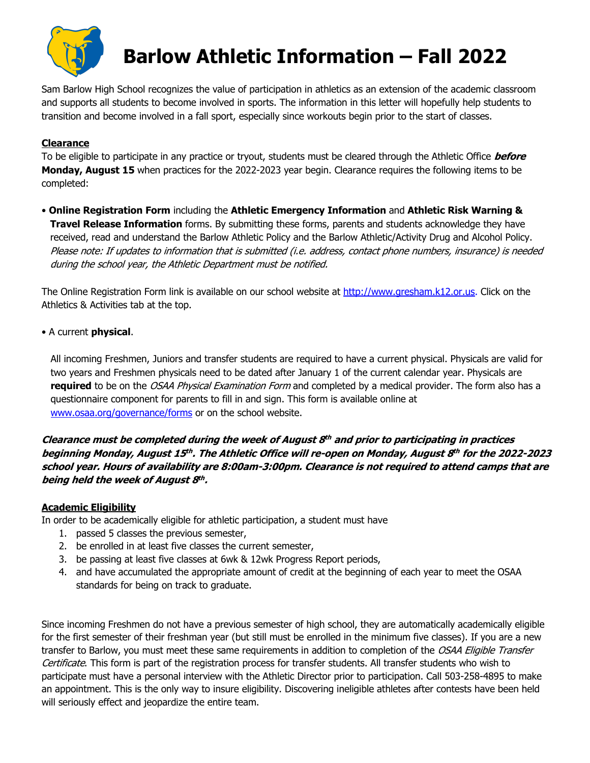

# **Barlow Athletic Information – Fall 2022**

Sam Barlow High School recognizes the value of participation in athletics as an extension of the academic classroom and supports all students to become involved in sports. The information in this letter will hopefully help students to transition and become involved in a fall sport, especially since workouts begin prior to the start of classes.

## **Clearance**

To be eligible to participate in any practice or tryout, students must be cleared through the Athletic Office **before Monday, August 15** when practices for the 2022-2023 year begin. Clearance requires the following items to be completed:

• **Online Registration Form** including the **Athletic Emergency Information** and **Athletic Risk Warning & Travel Release Information** forms. By submitting these forms, parents and students acknowledge they have received, read and understand the Barlow Athletic Policy and the Barlow Athletic/Activity Drug and Alcohol Policy. Please note: If updates to information that is submitted (i.e. address, contact phone numbers, insurance) is needed during the school year, the Athletic Department must be notified.

The Online Registration Form link is available on our school website at http://www.gresham.k12.or.us. Click on the Athletics & Activities tab at the top.

• A current **physical**.

 All incoming Freshmen, Juniors and transfer students are required to have a current physical. Physicals are valid for two years and Freshmen physicals need to be dated after January 1 of the current calendar year. Physicals are **required** to be on the OSAA Physical Examination Form and completed by a medical provider. The form also has a questionnaire component for parents to fill in and sign. This form is available online at www.osaa.org/governance/forms or on the school website.

**Clearance must be completed during the week of August 8th and prior to participating in practices beginning Monday, August 15th . The Athletic Office will re-open on Monday, August 8th for the 2022-2023 school year. Hours of availability are 8:00am-3:00pm. Clearance is not required to attend camps that are being held the week of August 8th .**

### **Academic Eligibility**

In order to be academically eligible for athletic participation, a student must have

- 1. passed 5 classes the previous semester,
- 2. be enrolled in at least five classes the current semester,
- 3. be passing at least five classes at 6wk & 12wk Progress Report periods,
- 4. and have accumulated the appropriate amount of credit at the beginning of each year to meet the OSAA standards for being on track to graduate.

Since incoming Freshmen do not have a previous semester of high school, they are automatically academically eligible for the first semester of their freshman year (but still must be enrolled in the minimum five classes). If you are a new transfer to Barlow, you must meet these same requirements in addition to completion of the OSAA Eligible Transfer Certificate. This form is part of the registration process for transfer students. All transfer students who wish to participate must have a personal interview with the Athletic Director prior to participation. Call 503-258-4895 to make an appointment. This is the only way to insure eligibility. Discovering ineligible athletes after contests have been held will seriously effect and jeopardize the entire team.